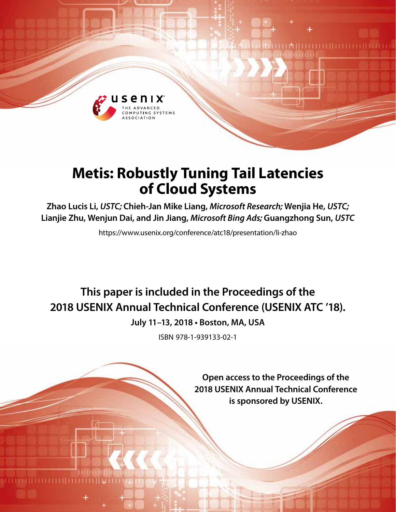

# **Metis: Robustly Tuning Tail Latencies of Cloud Systems**

**Zhao Lucis Li,** *USTC;* **Chieh-Jan Mike Liang,** *Microsoft Research;* **Wenjia He,** *USTC;* **Lianjie Zhu, Wenjun Dai, and Jin Jiang,** *Microsoft Bing Ads;* **Guangzhong Sun,** *USTC*

https://www.usenix.org/conference/atc18/presentation/li-zhao

# **This paper is included in the Proceedings of the 2018 USENIX Annual Technical Conference (USENIX ATC '18). July 11–13, 2018 • Boston, MA, USA**

ISBN 978-1-939133-02-1

**Open access to the Proceedings of the 2018 USENIX Annual Technical Conference is sponsored by USENIX.**

**LA HELLELLI LELLEL**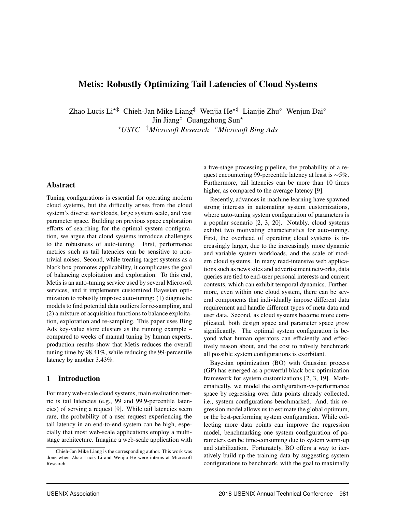# Metis: Robustly Optimizing Tail Latencies of Cloud Systems

Zhao Lucis Li<sup>\*‡</sup> Chieh-Jan Mike Liang<sup>‡</sup> Wenjia He<sup>\*‡</sup> Lianjie Zhu<sup>∘</sup> Wenjun Dai° Jin Jiang◦ Guangzhong Sun? ?*USTC* ‡*Microsoft Research* ◦*Microsoft Bing Ads*

#### Abstract

Tuning configurations is essential for operating modern cloud systems, but the difficulty arises from the cloud system's diverse workloads, large system scale, and vast parameter space. Building on previous space exploration efforts of searching for the optimal system configuration, we argue that cloud systems introduce challenges to the robustness of auto-tuning. First, performance metrics such as tail latencies can be sensitive to nontrivial noises. Second, while treating target systems as a black box promotes applicability, it complicates the goal of balancing exploitation and exploration. To this end, Metis is an auto-tuning service used by several Microsoft services, and it implements customized Bayesian optimization to robustly improve auto-tuning: (1) diagnostic models to find potential data outliers for re-sampling, and (2) a mixture of acquisition functions to balance exploitation, exploration and re-sampling. This paper uses Bing Ads key-value store clusters as the running example – compared to weeks of manual tuning by human experts, production results show that Metis reduces the overall tuning time by 98.41%, while reducing the 99-percentile latency by another 3.43%.

#### 1 Introduction

For many web-scale cloud systems, main evaluation metric is tail latencies (e.g., 99 and 99.9-percentile latencies) of serving a request [\[9\]](#page-12-0). While tail latencies seem rare, the probability of a user request experiencing the tail latency in an end-to-end system can be high, especially that most web-scale applications employ a multistage architecture. Imagine a web-scale application with a five-stage processing pipeline, the probability of a request encountering 99-percentile latency at least is ∼5%. Furthermore, tail latencies can be more than 10 times higher, as compared to the average latency [\[9\]](#page-12-0).

Recently, advances in machine learning have spawned strong interests in automating system customizations, where auto-tuning system configuration of parameters is a popular scenario [\[2,](#page-12-1) [3,](#page-12-2) [20\]](#page-12-3). Notably, cloud systems exhibit two motivating characteristics for auto-tuning. First, the overhead of operating cloud systems is increasingly larger, due to the increasingly more dynamic and variable system workloads, and the scale of modern cloud systems. In many read-intensive web applications such as news sites and advertisement networks, data queries are tied to end-user personal interests and current contexts, which can exhibit temporal dynamics. Furthermore, even within one cloud system, there can be several components that individually impose different data requirement and handle different types of meta data and user data. Second, as cloud systems become more complicated, both design space and parameter space grow significantly. The optimal system configuration is beyond what human operators can efficiently and effectively reason about, and the cost to naïvely benchmark all possible system configurations is exorbitant.

Bayesian optimization (BO) with Gaussian process (GP) has emerged as a powerful black-box optimization framework for system customizations [\[2,](#page-12-1) [3,](#page-12-2) [19\]](#page-12-4). Mathematically, we model the configuration-vs-performance space by regressing over data points already collected, i.e., system configurations benchmarked. And, this regression model allows us to estimate the global optimum, or the best-performing system configuration. While collecting more data points can improve the regression model, benchmarking one system configuration of parameters can be time-consuming due to system warm-up and stabilization. Fortunately, BO offers a way to iteratively build up the training data by suggesting system configurations to benchmark, with the goal to maximally

Chieh-Jan Mike Liang is the corresponding author. This work was done when Zhao Lucis Li and Wenjia He were interns at Microsoft Research.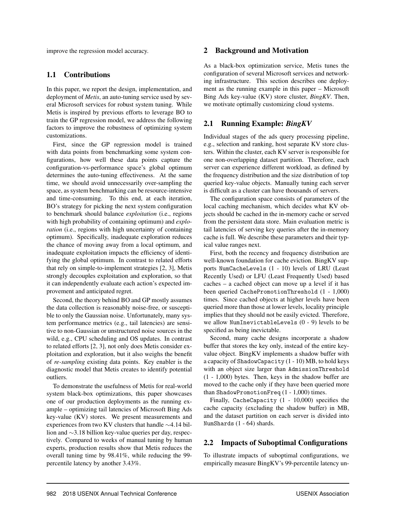improve the regression model accuracy.

# 1.1 Contributions

In this paper, we report the design, implementation, and deployment of *Metis*, an auto-tuning service used by several Microsoft services for robust system tuning. While Metis is inspired by previous efforts to leverage BO to train the GP regression model, we address the following factors to improve the robustness of optimizing system customizations.

First, since the GP regression model is trained with data points from benchmarking some system configurations, how well these data points capture the configuration-vs-performance space's global optimum determines the auto-tuning effectiveness. At the same time, we should avoid unnecessarily over-sampling the space, as system benchmarking can be resource-intensive and time-consuming. To this end, at each iteration, BO's strategy for picking the next system configuration to benchmark should balance *exploitation* (i.e., regions with high probability of containing optimum) and *exploration* (i.e., regions with high uncertainty of containing optimum). Specifically, inadequate exploration reduces the chance of moving away from a local optimum, and inadequate exploitation impacts the efficiency of identifying the global optimum. In contrast to related efforts that rely on simple-to-implement strategies [\[2,](#page-12-1) [3\]](#page-12-2), Metis strongly decouples exploitation and exploration, so that it can independently evaluate each action's expected improvement and anticipated regret.

Second, the theory behind BO and GP mostly assumes the data collection is reasonably noise-free, or susceptible to only the Gaussian noise. Unfortunately, many system performance metrics (e.g., tail latencies) are sensitive to non-Gaussian or unstructured noise sources in the wild, e.g., CPU scheduling and OS updates. In contrast to related efforts [\[2,](#page-12-1) [3\]](#page-12-2), not only does Metis consider exploitation and exploration, but it also weighs the benefit of *re-sampling* existing data points. Key enabler is the diagnostic model that Metis creates to identify potential outliers.

To demonstrate the usefulness of Metis for real-world system black-box optimizations, this paper showcases one of our production deployments as the running example – optimizing tail latencies of Microsoft Bing Ads key-value (KV) stores. We present measurements and experiences from two KV clusters that handle ∼4.14 billion and ∼3.18 billion key-value queries per day, respectively. Compared to weeks of manual tuning by human experts, production results show that Metis reduces the overall tuning time by 98.41%, while reducing the 99 percentile latency by another 3.43%.

#### <span id="page-2-0"></span>2 Background and Motivation

As a black-box optimization service, Metis tunes the configuration of several Microsoft services and networking infrastructure. This section describes one deployment as the running example in this paper – Microsoft Bing Ads key-value (KV) store cluster, *BingKV*. Then, we motivate optimally customizing cloud systems.

#### <span id="page-2-1"></span>2.1 Running Example: *BingKV*

Individual stages of the ads query processing pipeline, e.g., selection and ranking, host separate KV store clusters. Within the cluster, each KV server is responsible for one non-overlapping dataset partition. Therefore, each server can experience different workload, as defined by the frequency distribution and the size distribution of top queried key-value objects. Manually tuning each server is difficult as a cluster can have thousands of servers.

The configuration space consists of parameters of the local caching mechanism, which decides what KV objects should be cached in the in-memory cache or served from the persistent data store. Main evaluation metric is tail latencies of serving key queries after the in-memory cache is full. We describe these parameters and their typical value ranges next.

First, both the recency and frequency distribution are well-known foundation for cache eviction. BingKV supports NumCacheLevels (1 - 10) levels of LRU (Least Recently Used) or LFU (Least Frequently Used) based caches – a cached object can move up a level if it has been queried CachePromotionThreshold (1 - 1,000) times. Since cached objects at higher levels have been queried more than those at lower levels, locality principle implies that they should not be easily evicted. Therefore, we allow NumInevictableLevels (0 - 9) levels to be specified as being inevictable.

Second, many cache designs incorporate a shadow buffer that stores the key only, instead of the entire keyvalue object. BingKV implements a shadow buffer with a capacity of ShadowCapacity (1 - 10) MB, to hold keys with an object size larger than AdmissionThreshold (1 - 1,000) bytes. Then, keys in the shadow buffer are moved to the cache only if they have been queried more than ShadowPromotionFreq  $(1 - 1,000)$  times.

Finally, CacheCapacity (1 - 10,000) specifies the cache capacity (excluding the shadow buffer) in MB, and the dataset partition on each server is divided into NumShards (1 - 64) shards.

# 2.2 Impacts of Suboptimal Configurations

To illustrate impacts of suboptimal configurations, we empirically measure BingKV's 99-percentile latency un-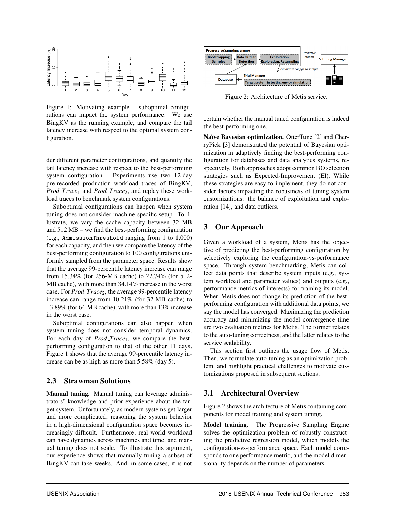<span id="page-3-0"></span>

Figure 1: Motivating example – suboptimal configurations can impact the system performance. We use BingKV as the running example, and compare the tail latency increase with respect to the optimal system configuration.

der different parameter configurations, and quantify the tail latency increase with respect to the best-performing system configuration. Experiments use two 12-day pre-recorded production workload traces of BingKV, *Prod Trace*<sup>1</sup> and *Prod Trace*2, and replay these workload traces to benchmark system configurations.

Suboptimal configurations can happen when system tuning does not consider machine-specific setup. To illustrate, we vary the cache capacity between 32 MB and 512 MB – we find the best-performing configuration (e.g., AdmissionThreshold ranging from 1 to 1,000) for each capacity, and then we compare the latency of the best-performing configuration to 100 configurations uniformly sampled from the parameter space. Results show that the average 99-percentile latency increase can range from 15.34% (for 256-MB cache) to 22.74% (for 512- MB cache), with more than 34.14% increase in the worst case. For *Prod Trace*2, the average 99-percentile latency increase can range from 10.21% (for 32-MB cache) to 13.89% (for 64-MB cache), with more than 13% increase in the worst case.

Suboptimal configurations can also happen when system tuning does not consider temporal dynamics. For each day of *Prod\_Trace*<sub>1</sub>, we compare the bestperforming configuration to that of the other 11 days. Figure [1](#page-3-0) shows that the average 99-percentile latency increase can be as high as more than 5.58% (day 5).

#### 2.3 Strawman Solutions

Manual tuning. Manual tuning can leverage administrators' knowledge and prior experience about the target system. Unfortunately, as modern systems get larger and more complicated, reasoning the system behavior in a high-dimensional configuration space becomes increasingly difficult. Furthermore, real-world workload can have dynamics across machines and time, and manual tuning does not scale. To illustrate this argument, our experience shows that manually tuning a subset of BingKV can take weeks. And, in some cases, it is not

<span id="page-3-1"></span>

Figure 2: Architecture of Metis service.

certain whether the manual tuned configuration is indeed the best-performing one.

Naïve Bayesian optimization. OtterTune [\[2\]](#page-12-1) and CherryPick [\[3\]](#page-12-2) demonstrated the potential of Bayesian optimization in adaptively finding the best-performing configuration for databases and data analytics systems, respectively. Both approaches adopt common BO selection strategies such as Expected-Improvement (EI). While these strategies are easy-to-implement, they do not consider factors impacting the robustness of tuning system customizations: the balance of exploitation and exploration [\[14\]](#page-12-5), and data outliers.

# 3 Our Approach

Given a workload of a system, Metis has the objective of predicting the best-performing configuration by selectively exploring the configuration-vs-performance space. Through system benchmarking, Metis can collect data points that describe system inputs (e.g., system workload and parameter values) and outputs (e.g., performance metrics of interests) for training its model. When Metis does not change its prediction of the bestperforming configuration with additional data points, we say the model has converged. Maximizing the prediction accuracy and minimizing the model convergence time are two evaluation metrics for Metis. The former relates to the auto-tuning correctness, and the latter relates to the service scalability.

This section first outlines the usage flow of Metis. Then, we formulate auto-tuning as an optimization problem, and highlight practical challenges to motivate customizations proposed in subsequent sections.

# 3.1 Architectural Overview

Figure [2](#page-3-1) shows the architecture of Metis containing components for model training and system tuning.

Model training. The Progressive Sampling Engine solves the optimization problem of robustly constructing the predictive regression model, which models the configuration-vs-performance space. Each model corresponds to one performance metric, and the model dimensionality depends on the number of parameters.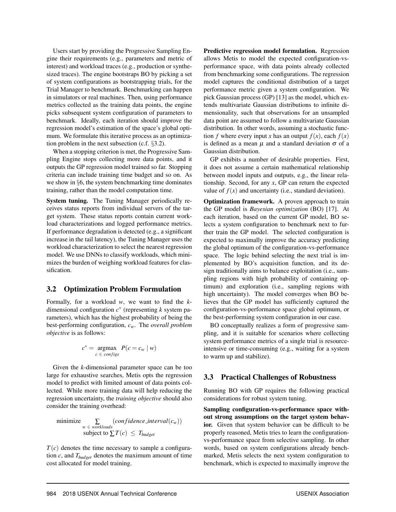Users start by providing the Progressive Sampling Engine their requirements (e.g., parameters and metric of interest) and workload traces (e.g., production or synthesized traces). The engine bootstraps BO by picking a set of system configurations as bootstrapping trials, for the Trial Manager to benchmark. Benchmarking can happen in simulators or real machines. Then, using performance metrics collected as the training data points, the engine picks subsequent system configuration of parameters to benchmark. Ideally, each iteration should improve the regression model's estimation of the space's global optimum. We formulate this iterative process as an optimization problem in the next subsection (c.f. §[3.2\)](#page-4-0).

When a stopping criterion is met, the Progressive Sampling Engine stops collecting more data points, and it outputs the GP regression model trained so far. Stopping criteria can include training time budget and so on. As we show in §[6,](#page-7-0) the system benchmarking time dominates training, rather than the model computation time.

System tuning. The Tuning Manager periodically receives status reports from individual servers of the target system. These status reports contain current workload characterizations and logged performance metrics. If performance degradation is detected (e.g., a significant increase in the tail latency), the Tuning Manager uses the workload characterization to select the nearest regression model. We use DNNs to classify workloads, which minimizes the burden of weighing workload features for classification.

# <span id="page-4-0"></span>3.2 Optimization Problem Formulation

Formally, for a workload *w*, we want to find the *k*dimensional configuration *c* ∗ (representing *k* system parameters), which has the highest probability of being the best-performing configuration, *cw*. The *overall problem objective* is as follows:

$$
c^* = \underset{c \in \text{configs}}{\text{argmax}} \ P(c = c_w \mid w)
$$

Given the *k*-dimensional parameter space can be too large for exhaustive searches, Metis opts the regression model to predict with limited amount of data points collected. While more training data will help reducing the regression uncertainty, the *training objective* should also consider the training overhead:

$$
\begin{array}{ll}\text{minimize} & \sum_{w \in \text{workloads}} (\text{confidence\_interval}(c_w)) \\ & \text{subject to} \sum T(c) \leq T_{budget} \end{array}
$$

 $T(c)$  denotes the time necessary to sample a configuration *c*, and *Tbudget* denotes the maximum amount of time cost allocated for model training.

Predictive regression model formulation. Regression allows Metis to model the expected configuration-vsperformance space, with data points already collected from benchmarking some configurations. The regression model captures the conditional distribution of a target performance metric given a system configuration. We pick Gaussian process (GP) [\[13\]](#page-12-6) as the model, which extends multivariate Gaussian distributions to infinite dimensionality, such that observations for an unsampled data point are assumed to follow a multivariate Gaussian distribution. In other words, assuming a stochastic function *f* where every input *x* has an output  $f(x)$ , each  $f(x)$ is defined as a mean  $\mu$  and a standard deviation  $\sigma$  of a Gaussian distribution.

GP exhibits a number of desirable properties. First, it does not assume a certain mathematical relationship between model inputs and outputs, e.g., the linear relationship. Second, for any *x*, GP can return the expected value of  $f(x)$  and uncertainty (i.e., standard deviation).

Optimization framework. A proven approach to train the GP model is *Bayesian optimization* (BO) [\[17\]](#page-12-7). At each iteration, based on the current GP model, BO selects a system configuration to benchmark next to further train the GP model. The selected configuration is expected to maximally improve the accuracy predicting the global optimum of the configuration-vs-performance space. The logic behind selecting the next trial is implemented by BO's acquisition function, and its design traditionally aims to balance exploitation (i.e., sampling regions with high probability of containing optimum) and exploration (i.e., sampling regions with high uncertainty). The model converges when BO believes that the GP model has sufficiently captured the configuration-vs-performance space global optimum, or the best-performing system configuration in our case.

BO conceptually realizes a form of progressive sampling, and it is suitable for scenarios where collecting system performance metrics of a single trial is resourceintensive or time-consuming (e.g., waiting for a system to warm up and stabilize).

# <span id="page-4-1"></span>3.3 Practical Challenges of Robustness

Running BO with GP requires the following practical considerations for robust system tuning.

Sampling configuration-vs-performance space without strong assumptions on the target system behavior. Given that system behavior can be difficult to be properly reasoned, Metis tries to learn the configurationvs-performance space from selective sampling. In other words, based on system configurations already benchmarked, Metis selects the next system configuration to benchmark, which is expected to maximally improve the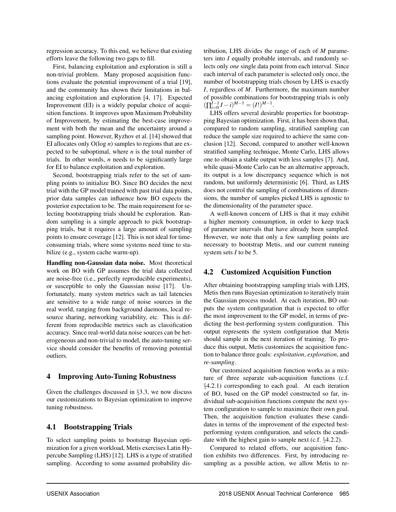regression accuracy. To this end, we believe that existing efforts leave the following two gaps to fill.

First, balancing exploitation and exploration is still a non-trivial problem. Many proposed acquisition functions evaluate the potential improvement of a trial [\[19\]](#page-12-4), and the community has shown their limitations in balancing exploitation and exploration [\[4,](#page-12-8) [17\]](#page-12-7). Expected Improvement (EI) is a widely popular choice of acquisition functions. It improves upon Maximum Probability of Improvement, by estimating the best-case improvement with both the mean and the uncertainty around a sampling point. However, Ryzhov et al. [\[14\]](#page-12-5) showed that EI allocates only O(log *n*) samples to regions that are expected to be suboptimal, where *n* is the total number of trials. In other words, *n* needs to be significantly large for EI to balance exploitation and exploration.

Second, bootstrapping trials refer to the set of sampling points to initialize BO. Since BO decides the next trial with the GP model trained with past trial data points, prior data samples can influence how BO expects the posterior expectation to be. The main requirement for selecting bootstrapping trials should be exploration. Random sampling is a simple approach to pick bootstrapping trials, but it requires a large amount of sampling points to ensure coverage [\[12\]](#page-12-9). This is not ideal for timeconsuming trials, where some systems need time to stabilize (e.g., system cache warm-up).

Handling non-Gaussian data noise. Most theoretical work on BO with GP assumes the trial data collected are noise-free (i.e., perfectly reproducible experiments), or susceptible to only the Gaussian noise [\[17\]](#page-12-7). Unfortunately, many system metrics such as tail latencies are sensitive to a wide range of noise sources in the real world, ranging from background daemons, local resource sharing, networking variability, etc. This is different from reproducible metrics such as classification accuracy. Since real-world data noise sources can be heterogeneous and non-trivial to model, the auto-tuning service should consider the benefits of removing potential outliers.

#### 4 Improving Auto-Tuning Robustness

Given the challenges discussed in §[3.3,](#page-4-1) we now discuss our customizations to Bayesian optimization to improve tuning robustness.

# 4.1 Bootstrapping Trials

To select sampling points to bootstrap Bayesian optimization for a given workload, Metis exercises Latin Hypercube Sampling (LHS) [\[12\]](#page-12-9). LHS is a type of stratified sampling. According to some assumed probability distribution, LHS divides the range of each of *M* parameters into *I* equally probable intervals, and randomly selects only *one* single data point from each interval. Since each interval of each parameter is selected only once, the number of bootstrapping trials chosen by LHS is exactly *I*, regardless of *M*. Furthermore, the maximum number of possible combinations for bootstrapping trials is only  $(\prod_{i=0}^{I-1} I - i)^{M-1} = (I!)^{M-1}.$ 

LHS offers several desirable properties for bootstrapping Bayesian optimization. First, it has been shown that, compared to random sampling, stratified sampling can reduce the sample size required to achieve the same conclusion [\[12\]](#page-12-9). Second, compared to another well-known stratified sampling technique, Monte Carlo, LHS allows one to obtain a stable output with less samples [\[7\]](#page-12-10). And, while quasi-Monte Carlo can be an alternative approach, its output is a low discrepancy sequence which is not random, but uniformly deterministic [\[6\]](#page-12-11). Third, as LHS does not control the sampling of combinations of dimensions, the number of samples picked LHS is agnostic to the dimensionality of the parameter space.

A well-known concern of LHS is that it may exhibit a higher memory consumption, in order to keep track of parameter intervals that have already been sampled. However, we note that only a few sampling points are necessary to bootstrap Metis, and our current running system sets *I* to be 5.

#### 4.2 Customized Acquisition Function

After obtaining bootstrapping sampling trials with LHS, Metis then runs Bayesian optimization to iteratively train the Gaussian process model. At each iteration, BO outputs the system configuration that is expected to offer the most improvement to the GP model, in terms of predicting the best-performing system configuration. This output represents the system configuration that Metis should sample in the next iteration of training. To produce this output, Metis customizes the acquisition function to balance three goals: *exploitation*, *exploration*, and *re-sampling*.

Our customized acquisition function works as a mixture of three separate sub-acquisition functions (c.f. §[4.2.1\)](#page-6-0) corresponding to each goal. At each iteration of BO, based on the GP model constructed so far, individual sub-acquisition functions compute the next system configuration to sample to maximize their own goal. Then, the acquisition function evaluates these candidates in terms of the improvement of the expected bestperforming system configuration, and selects the candidate with the highest gain to sample next (c.f. §[4.2.2\)](#page-6-1).

Compared to related efforts, our acquisition function exhibits two differences. First, by introducing resampling as a possible action, we allow Metis to re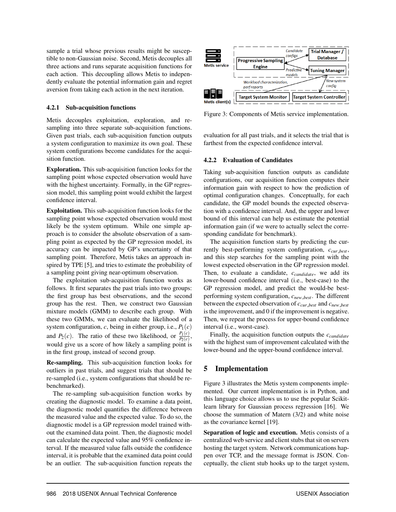sample a trial whose previous results might be susceptible to non-Gaussian noise. Second, Metis decouples all three actions and runs separate acquisition functions for each action. This decoupling allows Metis to independently evaluate the potential information gain and regret aversion from taking each action in the next iteration.

#### <span id="page-6-0"></span>4.2.1 Sub-acquisition functions

Metis decouples exploitation, exploration, and resampling into three separate sub-acquisition functions. Given past trials, each sub-acquisition function outputs a system configuration to maximize its own goal. These system configurations become candidates for the acquisition function.

Exploration. This sub-acquisition function looks for the sampling point whose expected observation would have with the highest uncertainty. Formally, in the GP regression model, this sampling point would exhibit the largest confidence interval.

Exploitation. This sub-acquisition function looks for the sampling point whose expected observation would most likely be the system optimum. While one simple approach is to consider the absolute observation of a sampling point as expected by the GP regression model, its accuracy can be impacted by GP's uncertainty of that sampling point. Therefore, Metis takes an approach inspired by TPE [\[5\]](#page-12-12), and tries to estimate the probability of a sampling point giving near-optimum observation.

The exploitation sub-acquisition function works as follows. It first separates the past trials into two groups: the first group has best observations, and the second group has the rest. Then, we construct two Gaussian mixture models (GMM) to describe each group. With these two GMMs, we can evaluate the likelihood of a system configuration,  $c$ , being in either group, i.e.,  $P_1(c)$ and *P*<sub>2</sub>(*c*). The ratio of these two likelihood, or  $\frac{P_1(c)}{P_2(c)}$ , would give us a score of how likely a sampling point is in the first group, instead of second group.

Re-sampling. This sub-acquisition function looks for outliers in past trials, and suggest trials that should be re-sampled (i.e., system configurations that should be rebenchmarked).

The re-sampling sub-acquisition function works by creating the diagnostic model. To examine a data point, the diagnostic model quantifies the difference between the measured value and the expected value. To do so, the diagnostic model is a GP regression model trained without the examined data point. Then, the diagnostic model can calculate the expected value and 95% confidence interval. If the measured value falls outside the confidence interval, it is probable that the examined data point could be an outlier. The sub-acquisition function repeats the

<span id="page-6-2"></span>

Figure 3: Components of Metis service implementation.

evaluation for all past trials, and it selects the trial that is farthest from the expected confidence interval.

#### <span id="page-6-1"></span>4.2.2 Evaluation of Candidates

Taking sub-acquisition function outputs as candidate configurations, our acquisition function computes their information gain with respect to how the prediction of optimal configuration changes. Conceptually, for each candidate, the GP model bounds the expected observation with a confidence interval. And, the upper and lower bound of this interval can help us estimate the potential information gain (if we were to actually select the corresponding candidate for benchmark).

The acquisition function starts by predicting the currently best-performing system configuration, *ccur best*, and this step searches for the sampling point with the lowest expected observation in the GP regression model. Then, to evaluate a candidate, *ccandidate*, we add its lower-bound confidence interval (i.e., best-case) to the GP regression model, and predict the would-be bestperforming system configuration, *cnew best*. The different between the expected observation of *ccur best* and *cnew best* is the improvement, and 0 if the improvement is negative. Then, we repeat the process for upper-bound confidence interval (i.e., worst-case).

Finally, the acquisition function outputs the *ccandidate* with the highest sum of improvement calculated with the lower-bound and the upper-bound confidence interval.

# 5 Implementation

Figure [3](#page-6-2) illustrates the Metis system components implemented. Our current implementation is in Python, and this language choice allows us to use the popular Scikitlearn library for Gaussian process regression [\[16\]](#page-12-13). We choose the summation of Matern (3/2) and white noise as the covariance kernel [\[19\]](#page-12-4).

Separation of logic and execution. Metis consists of a centralized web service and client stubs that sit on servers hosting the target system. Network communications happen over TCP, and the message format is JSON. Conceptually, the client stub hooks up to the target system,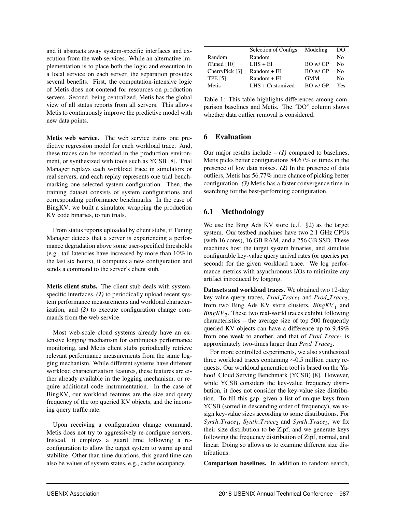and it abstracts away system-specific interfaces and execution from the web services. While an alternative implementation is to place both the logic and execution in a local service on each server, the separation provides several benefits. First, the computation-intensive logic of Metis does not contend for resources on production servers. Second, being centralized, Metis has the global view of all status reports from all servers. This allows Metis to continuously improve the predictive model with new data points.

Metis web service. The web service trains one predictive regression model for each workload trace. And, these traces can be recorded in the production environment, or synthesized with tools such as YCSB [\[8\]](#page-12-14). Trial Manager replays each workload trace in simulators or real servers, and each replay represents one trial benchmarking one selected system configuration. Then, the training dataset consists of system configurations and corresponding performance benchmarks. In the case of BingKV, we built a simulator wrapping the production KV code binaries, to run trials.

From status reports uploaded by client stubs, if Tuning Manager detects that a server is experiencing a performance degradation above some user-specified thresholds (e.g., tail latencies have increased by more than 10% in the last six hours), it computes a new configuration and sends a command to the server's client stub.

Metis client stubs. The client stub deals with systemspecific interfaces, (1) to periodically upload recent system performance measurements and workload characterization, and *(2)* to execute configuration change commands from the web service.

Most web-scale cloud systems already have an extensive logging mechanism for continuous performance monitoring, and Metis client stubs periodically retrieve relevant performance measurements from the same logging mechanism. While different systems have different workload characterization features, these features are either already available in the logging mechanism, or require additional code instrumentation. In the case of BingKV, our workload features are the size and query frequency of the top queried KV objects, and the incoming query traffic rate.

Upon receiving a configuration change command, Metis does not try to aggressively re-configure servers. Instead, it employs a guard time following a reconfiguration to allow the target system to warm up and stabilize. Other than time durations, this guard time can also be values of system states, e.g., cache occupancy.

<span id="page-7-1"></span>

|                | Selection of Configs | Modeling     | DO  |
|----------------|----------------------|--------------|-----|
| Random         | Random               |              | Nο  |
| iTuned $[10]$  | $LHS + EI$           | $BO$ w/ $GP$ | Nο  |
| CherryPick [3] | $Random + EI$        | $BO$ w/ $GP$ | Nο  |
| <b>TPE [5]</b> | $Random + EI$        | <b>GMM</b>   | No  |
| Metis          | LHS + Customized     | $BO$ w/ $GP$ | Yes |

Table 1: This table highlights differences among comparison baselines and Metis. The "DO" column shows whether data outlier removal is considered.

# <span id="page-7-0"></span>6 Evaluation

Our major results include  $- (1)$  compared to baselines, Metis picks better configurations 84.67% of times in the presence of low data noises. *(2)* In the presence of data outliers, Metis has 56.77% more chance of picking better configuration. *(3)* Metis has a faster convergence time in searching for the best-performing configuration.

# 6.1 Methodology

We use the Bing Ads KV store  $(c.f. \S2)$  $(c.f. \S2)$  as the target system. Our testbed machines have two 2.1 GHz CPUs (with 16 cores), 16 GB RAM, and a 256 GB SSD. These machines host the target system binaries, and simulate configurable key-value query arrival rates (or queries per second) for the given workload trace. We log performance metrics with asynchronous I/Os to minimize any artifact introduced by logging.

Datasets and workload traces. We obtained two 12-day key-value query traces, *Prod Trace*<sup>1</sup> and *Prod Trace*2, from two Bing Ads KV store clusters,  $\text{Bing}$ <sub>I</sub> and *BingKV*<sup>2</sup> . These two real-world traces exhibit following characteristics – the average size of top 500 frequently queried KV objects can have a difference up to 9.49% from one week to another, and that of *Prod\_Trace*<sup>1</sup> is approximately two-times larger than *Prod Trace*2.

For more controlled experiments, we also synthesized three workload traces containing ∼0.5 million query requests. Our workload generation tool is based on the Yahoo! Cloud Serving Benchmark (YCSB) [\[8\]](#page-12-14). However, while YCSB considers the key-value frequency distribution, it does not consider the key-value size distribution. To fill this gap, given a list of unique keys from YCSB (sorted in descending order of frequency), we assign key-value sizes according to some distributions. For *Synth Trace*1, *Synth Trace*<sup>2</sup> and *Synth Trace*3, we fix their size distribution to be Zipf, and we generate keys following the frequency distribution of Zipf, normal, and linear. Doing so allows us to examine different size distributions.

Comparison baselines. In addition to random search,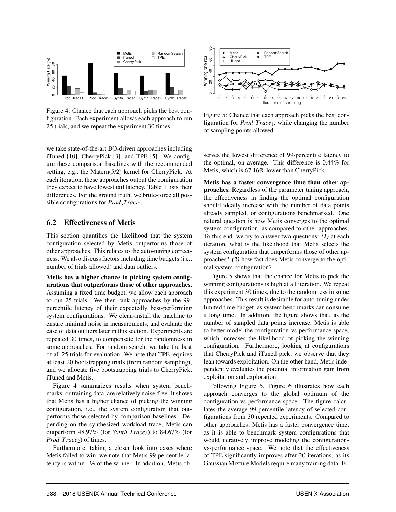<span id="page-8-0"></span>

Figure 4: Chance that each approach picks the best configuration. Each experiment allows each approach to run 25 trials, and we repeat the experiment 30 times.

we take state-of-the-art BO-driven approaches including iTuned [\[10\]](#page-12-15), CherryPick [\[3\]](#page-12-2), and TPE [\[5\]](#page-12-12). We configure these comparison baselines with the recommended setting, e.g., the Matern(5/2) kernel for CherryPick. At each iteration, these approaches output the configuration they expect to have lowest tail latency. Table [1](#page-7-1) lists their differences. For the ground truth, we brute-force all possible configurations for *Prod Trace*1.

# 6.2 Effectiveness of Metis

This section quantifies the likelihood that the system configuration selected by Metis outperforms those of other approaches. This relates to the auto-tuning correctness. We also discuss factors including time budgets (i.e., number of trials allowed) and data outliers.

Metis has a higher chance in picking system configurations that outperforms those of other approaches. Assuming a fixed time budget, we allow each approach to run 25 trials. We then rank approaches by the 99 percentile latency of their expectedly best-performing system configurations. We clean-install the machine to ensure minimal noise in measurements, and evaluate the case of data outliers later in this section. Experiments are repeated 30 times, to compensate for the randomness in some approaches. For random search, we take the best of all 25 trials for evaluation. We note that TPE requires at least 20 bootstrapping trials (from random sampling), and we allocate five bootstrapping trials to CherryPick, iTuned and Metis.

Figure [4](#page-8-0) summarizes results when system benchmarks, or training data, are relatively noise-free. It shows that Metis has a higher chance of picking the winning configuration, i.e., the system configuration that outperforms those selected by comparison baselines. Depending on the synthesized workload trace, Metis can outperform 48.97% (for *Synth Trace*2) to 84.67% (for *Prod\_Trace*<sub>2</sub>) of times.

Furthermore, taking a closer look into cases where Metis failed to win, we note that Metis 99-percentile latency is within 1% of the winner. In addition, Metis ob-

<span id="page-8-1"></span>

Figure 5: Chance that each approach picks the best configuration for *Prod Trace*1, while changing the number of sampling points allowed.

serves the lowest difference of 99-percentile latency to the optimal, on average. This difference is 0.44% for Metis, which is 67.16% lower than CherryPick.

Metis has a faster convergence time than other approaches. Regardless of the parameter tuning approach, the effectiveness in finding the optimal configuration should ideally increase with the number of data points already sampled, or configurations benchmarked. One natural question is how Metis converges to the optimal system configuration, as compared to other approaches. To this end, we try to answer two questions: *(1)* at each iteration, what is the likelihood that Metis selects the system configuration that outperforms those of other approaches? *(2)* how fast does Metis converge to the optimal system configuration?

Figure [5](#page-8-1) shows that the chance for Metis to pick the winning configurations is high at all iteration. We repeat this experiment 30 times, due to the randomness in some approaches. This result is desirable for auto-tuning under limited time budget, as system benchmarks can consume a long time. In addition, the figure shows that, as the number of sampled data points increase, Metis is able to better model the configuration-vs-performance space, which increases the likelihood of picking the winning configuration. Furthermore, looking at configurations that CherryPick and iTuned pick, we observe that they lean towards exploitation. On the other hand, Metis independently evaluates the potential information gain from exploitation and exploration.

Following Figure [5,](#page-8-1) Figure [6](#page-9-0) illustrates how each approach converges to the global optimum of the configuration-vs-performance space. The figure calculates the average 99-percentile latency of selected configurations from 30 repeated experiments. Compared to other approaches, Metis has a faster convergence time, as it is able to benchmark system configurations that would iteratively improve modeling the configurationvs-performance space. We note that the effectiveness of TPE significantly improves after 20 iterations, as its Gaussian Mixture Models require many training data. Fi-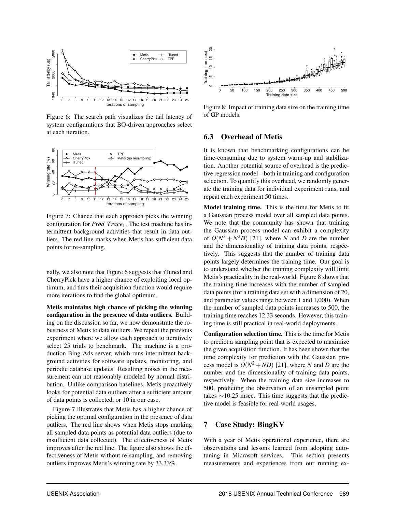<span id="page-9-0"></span>

Figure 6: The search path visualizes the tail latency of system configurations that BO-driven approaches select at each iteration.

<span id="page-9-1"></span>

Figure 7: Chance that each approach picks the winning configuration for *Prod Trace*1. The test machine has intermittent background activities that result in data outliers. The red line marks when Metis has sufficient data points for re-sampling.

nally, we also note that Figure [6](#page-9-0) suggests that iTuned and CherryPick have a higher chance of exploiting local optimum, and thus their acquisition function would require more iterations to find the global optimum.

Metis maintains high chance of picking the winning configuration in the presence of data outliers. Building on the discussion so far, we now demonstrate the robustness of Metis to data outliers. We repeat the previous experiment where we allow each approach to iteratively select 25 trials to benchmark. The machine is a production Bing Ads server, which runs intermittent background activities for software updates, monitoring, and periodic database updates. Resulting noises in the measurement can not reasonably modeled by normal distribution. Unlike comparison baselines, Metis proactively looks for potential data outliers after a sufficient amount of data points is collected, or 10 in our case.

Figure [7](#page-9-1) illustrates that Metis has a higher chance of picking the optimal configuration in the presence of data outliers. The red line shows when Metis stops marking all sampled data points as potential data outliers (due to insufficient data collected). The effectiveness of Metis improves after the red line. The figure also shows the effectiveness of Metis without re-sampling, and removing outliers improves Metis's winning rate by 33.33%.

<span id="page-9-2"></span>

Figure 8: Impact of training data size on the training time of GP models.

#### 6.3 Overhead of Metis

It is known that benchmarking configurations can be time-consuming due to system warm-up and stabilization. Another potential source of overhead is the predictive regression model – both in training and configuration selection. To quantify this overhead, we randomly generate the training data for individual experiment runs, and repeat each experiment 50 times.

Model training time. This is the time for Metis to fit a Gaussian process model over all sampled data points. We note that the community has shown that training the Gaussian process model can exhibit a complexity of  $O(N^3 + N^2D)$  [\[21\]](#page-12-16), where *N* and *D* are the number and the dimensionality of training data points, respectively. This suggests that the number of training data points largely determines the training time. Our goal is to understand whether the training complexity will limit Metis's practicality in the real-world. Figure [8](#page-9-2) shows that the training time increases with the number of sampled data points (for a training data set with a dimension of 20, and parameter values range between 1 and 1,000). When the number of sampled data points increases to 500, the training time reaches 12.33 seconds. However, this training time is still practical in real-world deployments.

Configuration selection time. This is the time for Metis to predict a sampling point that is expected to maximize the given acquisition function. It has been shown that the time complexity for prediction with the Gaussian process model is  $O(N^2 + ND)$  [\[21\]](#page-12-16), where *N* and *D* are the number and the dimensionality of training data points, respectively. When the training data size increases to 500, predicting the observation of an unsampled point takes ∼10.25 msec. This time suggests that the predictive model is feasible for real-world usages.

#### 7 Case Study: BingKV

With a year of Metis operational experience, there are observations and lessons learned from adopting autotuning in Microsoft services. This section presents measurements and experiences from our running ex-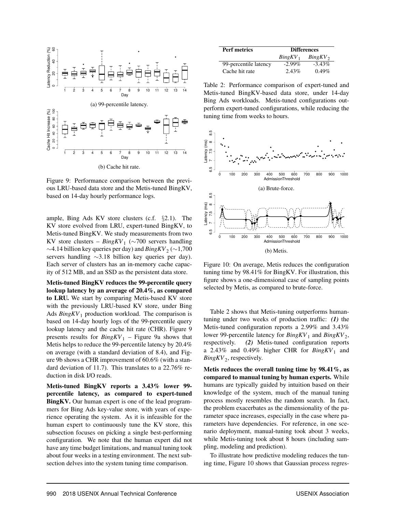<span id="page-10-0"></span>

Figure 9: Performance comparison between the previous LRU-based data store and the Metis-tuned BingKV, based on 14-day hourly performance logs.

ample, Bing Ads KV store clusters (c.f. §[2.1\)](#page-2-1). The KV store evolved from LRU, expert-tuned BingKV, to Metis-tuned BingKV. We study measurements from two KV store clusters –  $\frac{BingKV}{1}$  (∼700 servers handling  $\sim$ 4.14 billion key queries per day) and *BingKV*<sub>2</sub> ( $\sim$ 1,700 servers handling ∼3.18 billion key queries per day). Each server of clusters has an in-memory cache capacity of 512 MB, and an SSD as the persistent data store.

Metis-tuned BingKV reduces the 99-percentile query lookup latency by an average of 20.4%, as compared to LRU. We start by comparing Metis-based KV store with the previously LRU-based KV store, under Bing Ads  $BingKV_1$  production workload. The comparison is based on 14-day hourly logs of the 99-percentile query lookup latency and the cache hit rate (CHR). Figure [9](#page-10-0) presents results for  $BingKV_1$  – Figure [9a](#page-10-0) shows that Metis helps to reduce the 99-percentile latency by 20.4% on average (with a standard deviation of 8.4), and Figure [9b](#page-10-0) shows a CHR improvement of 60.6% (with a standard deviation of 11.7). This translates to a 22.76% reduction in disk I/O reads.

Metis-tuned BingKV reports a 3.43% lower 99 percentile latency, as compared to expert-tuned BingKV. Our human expert is one of the lead programmers for Bing Ads key-value store, with years of experience operating the system. As it is infeasible for the human expert to continuously tune the KV store, this subsection focuses on picking a single best-performing configuration. We note that the human expert did not have any time budget limitations, and manual tuning took about four weeks in a testing environment. The next subsection delves into the system tuning time comparison.

<span id="page-10-1"></span>

| Perf metrics          | <b>Differences</b> |              |
|-----------------------|--------------------|--------------|
|                       | $BingKV_1$         | $BingKV_{2}$ |
| 99-percentile latency | $-2.99\%$          | $-3.43\%$    |
| Cache hit rate        | $2.43\%$           | 0.49%        |

Table 2: Performance comparison of expert-tuned and Metis-tuned BingKV-based data store, under 14-day Bing Ads workloads. Metis-tuned configurations outperform expert-tuned configurations, while reducing the tuning time from weeks to hours.

<span id="page-10-2"></span>

Figure 10: On average, Metis reduces the configuration tuning time by 98.41% for BingKV. For illustration, this figure shows a one-dimensional case of sampling points selected by Metis, as compared to brute-force.

Table [2](#page-10-1) shows that Metis-tuning outperforms humantuning under two weeks of production traffic: *(1)* the Metis-tuned configuration reports a 2.99% and 3.43% lower 99-percentile latency for  $\frac{BingKV_1}{}$  and  $\frac{BingKV_2}{}$ , respectively. *(2)* Metis-tuned configuration reports a 2.43% and  $0.49\%$  higher CHR for  $BingKV_1$  and *BingKV*<sub>2</sub>, respectively.

Metis reduces the overall tuning time by 98.41%, as compared to manual tuning by human experts. While humans are typically guided by intuition based on their knowledge of the system, much of the manual tuning process mostly resembles the random search. In fact, the problem exacerbates as the dimensionality of the parameter space increases, especially in the case where parameters have dependencies. For reference, in one scenario deployment, manual-tuning took about 3 weeks, while Metis-tuning took about 8 hours (including sampling, modeling and prediction).

To illustrate how predictive modeling reduces the tuning time, Figure [10](#page-10-2) shows that Gaussian process regres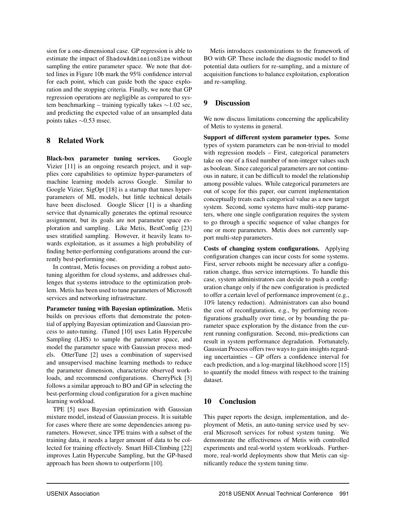sion for a one-dimensional case. GP regression is able to estimate the impact of ShadowAdmissionSize without sampling the entire parameter space. We note that dotted lines in Figure [10b](#page-10-2) mark the 95% confidence interval for each point, which can guide both the space exploration and the stopping criteria. Finally, we note that GP regression operations are negligible as compared to system benchmarking – training typically takes ∼1.02 sec, and predicting the expected value of an unsampled data points takes ∼0.53 msec.

# 8 Related Work

Black-box parameter tuning services. Google Vizier [\[11\]](#page-12-17) is an ongoing research project, and it supplies core capabilities to optimize hyper-parameters of machine learning models across Google. Similar to Google Vizier, SigOpt [\[18\]](#page-12-18) is a startup that tunes hyperparameters of ML models, but little technical details have been disclosed. Google Slicer [\[1\]](#page-12-19) is a sharding service that dynamically generates the optimal resource assignment, but its goals are not parameter space exploration and sampling. Like Metis, BestConfig [\[23\]](#page-12-20) uses stratified sampling. However, it heavily leans towards exploitation, as it assumes a high probability of finding better-performing configurations around the currently best-performing one.

In contrast, Metis focuses on providing a robust autotuning algorithm for cloud systems, and addresses challenges that systems introduce to the optimization problem. Metis has been used to tune parameters of Microsoft services and networking infrastructure.

Parameter tuning with Bayesian optimization. Metis builds on previous efforts that demonstrate the potential of applying Bayesian optimization and Gaussian process to auto-tuning. iTuned [\[10\]](#page-12-15) uses Latin Hypercube Sampling (LHS) to sample the parameter space, and model the parameter space with Gaussian process models. OtterTune [\[2\]](#page-12-1) uses a combination of supervised and unsupervised machine learning methods to reduce the parameter dimension, characterize observed work-loads, and recommend configurations. CherryPick [\[3\]](#page-12-2) follows a similar approach to BO and GP in selecting the best-performing cloud configuration for a given machine learning workload.

TPE [\[5\]](#page-12-12) uses Bayesian optimization with Gaussian mixture model, instead of Gaussian process. It is suitable for cases where there are some dependencies among parameters. However, since TPE trains with a subset of the training data, it needs a larger amount of data to be collected for training effectively. Smart Hill-Climbing [\[22\]](#page-12-21) improves Latin Hypercube Sampling, but the GP-based approach has been shown to outperform [\[10\]](#page-12-15).

Metis introduces customizations to the framework of BO with GP. These include the diagnostic model to find potential data outliers for re-sampling, and a mixture of acquisition functions to balance exploitation, exploration and re-sampling.

# 9 Discussion

We now discuss limitations concerning the applicability of Metis to systems in general.

Support of different system parameter types. Some types of system parameters can be non-trivial to model with regression models – First, categorical parameters take on one of a fixed number of non-integer values such as boolean. Since categorical parameters are not continuous in nature, it can be difficult to model the relationship among possible values. While categorical parameters are out of scope for this paper, our current implementation conceptually treats each categorical value as a new target system. Second, some systems have multi-step parameters, where one single configuration requires the system to go through a specific sequence of value changes for one or more parameters. Metis does not currently support multi-step parameters.

Costs of changing system configurations. Applying configuration changes can incur costs for some systems. First, server reboots might be necessary after a configuration change, thus service interruptions. To handle this case, system administrators can decide to push a configuration change only if the new configuration is predicted to offer a certain level of performance improvement (e.g., 10% latency reduction). Administrators can also bound the cost of reconfiguration, e.g., by performing reconfigurations gradually over time, or by bounding the parameter space exploration by the distance from the current running configuration. Second, mis-predictions can result in system performance degradation. Fortunately, Gaussian Process offers two ways to gain insights regarding uncertainties – GP offers a confidence interval for each prediction, and a log-marginal likelihood score [\[15\]](#page-12-22) to quantify the model fitness with respect to the training dataset.

# 10 Conclusion

This paper reports the design, implementation, and deployment of Metis, an auto-tuning service used by several Microsoft services for robust system tuning. We demonstrate the effectiveness of Metis with controlled experiments and real-world system workloads. Furthermore, real-world deployments show that Metis can significantly reduce the system tuning time.